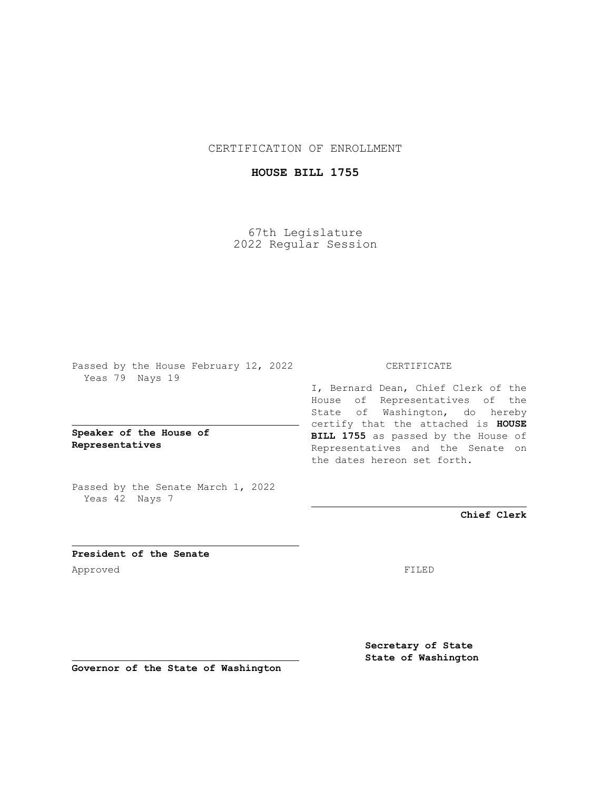CERTIFICATION OF ENROLLMENT

## **HOUSE BILL 1755**

67th Legislature 2022 Regular Session

Passed by the House February 12, 2022 Yeas 79 Nays 19

**Speaker of the House of Representatives**

Passed by the Senate March 1, 2022 Yeas 42 Nays 7

## CERTIFICATE

I, Bernard Dean, Chief Clerk of the House of Representatives of the State of Washington, do hereby certify that the attached is **HOUSE BILL 1755** as passed by the House of Representatives and the Senate on the dates hereon set forth.

**Chief Clerk**

**President of the Senate** Approved FILED

**Secretary of State State of Washington**

**Governor of the State of Washington**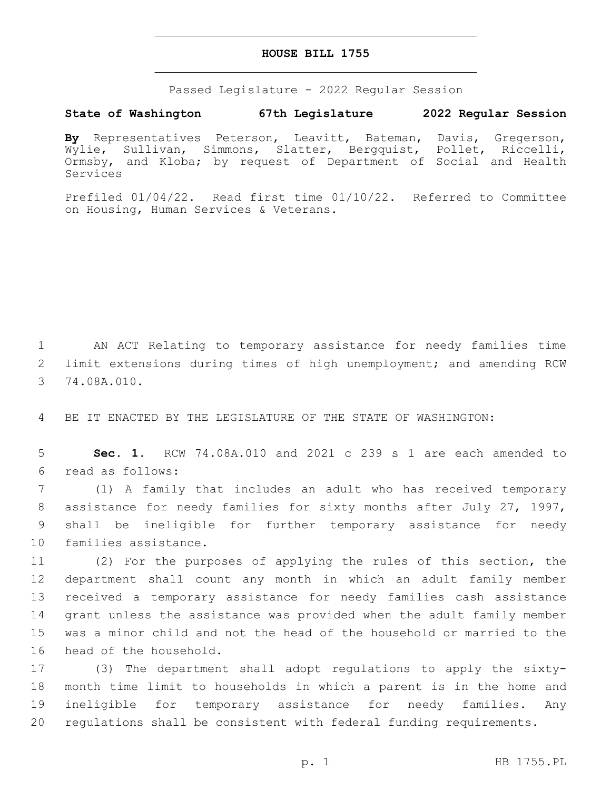## **HOUSE BILL 1755**

Passed Legislature - 2022 Regular Session

## **State of Washington 67th Legislature 2022 Regular Session**

**By** Representatives Peterson, Leavitt, Bateman, Davis, Gregerson, Wylie, Sullivan, Simmons, Slatter, Bergquist, Pollet, Riccelli, Ormsby, and Kloba; by request of Department of Social and Health Services

Prefiled 01/04/22. Read first time 01/10/22. Referred to Committee on Housing, Human Services & Veterans.

1 AN ACT Relating to temporary assistance for needy families time 2 limit extensions during times of high unemployment; and amending RCW 3 74.08A.010.

4 BE IT ENACTED BY THE LEGISLATURE OF THE STATE OF WASHINGTON:

5 **Sec. 1.** RCW 74.08A.010 and 2021 c 239 s 1 are each amended to read as follows:6

 (1) A family that includes an adult who has received temporary assistance for needy families for sixty months after July 27, 1997, shall be ineligible for further temporary assistance for needy 10 families assistance.

 (2) For the purposes of applying the rules of this section, the department shall count any month in which an adult family member received a temporary assistance for needy families cash assistance grant unless the assistance was provided when the adult family member was a minor child and not the head of the household or married to the 16 head of the household.

 (3) The department shall adopt regulations to apply the sixty- month time limit to households in which a parent is in the home and ineligible for temporary assistance for needy families. Any regulations shall be consistent with federal funding requirements.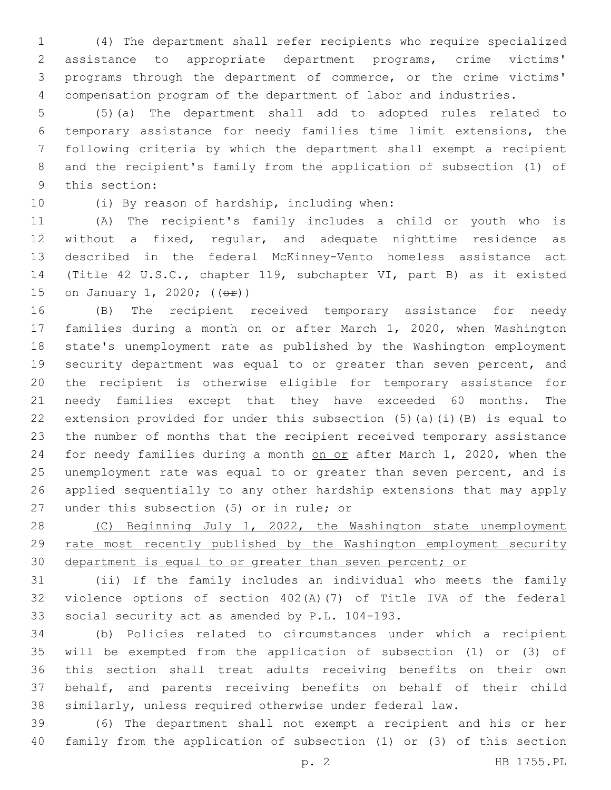(4) The department shall refer recipients who require specialized assistance to appropriate department programs, crime victims' programs through the department of commerce, or the crime victims' compensation program of the department of labor and industries.

 (5)(a) The department shall add to adopted rules related to temporary assistance for needy families time limit extensions, the following criteria by which the department shall exempt a recipient and the recipient's family from the application of subsection (1) of 9 this section:

10 (i) By reason of hardship, including when:

 (A) The recipient's family includes a child or youth who is without a fixed, regular, and adequate nighttime residence as described in the federal McKinney-Vento homeless assistance act (Title 42 U.S.C., chapter 119, subchapter VI, part B) as it existed 15 on January 1, 2020; (( $\Theta$ r))

 (B) The recipient received temporary assistance for needy families during a month on or after March 1, 2020, when Washington state's unemployment rate as published by the Washington employment security department was equal to or greater than seven percent, and the recipient is otherwise eligible for temporary assistance for needy families except that they have exceeded 60 months. The extension provided for under this subsection (5)(a)(i)(B) is equal to the number of months that the recipient received temporary assistance 24 for needy families during a month on or after March 1, 2020, when the unemployment rate was equal to or greater than seven percent, and is applied sequentially to any other hardship extensions that may apply 27 under this subsection (5) or in rule; or

28 (C) Beginning July 1, 2022, the Washington state unemployment rate most recently published by the Washington employment security department is equal to or greater than seven percent; or

 (ii) If the family includes an individual who meets the family violence options of section 402(A)(7) of Title IVA of the federal 33 social security act as amended by P.L. 104-193.

 (b) Policies related to circumstances under which a recipient will be exempted from the application of subsection (1) or (3) of this section shall treat adults receiving benefits on their own behalf, and parents receiving benefits on behalf of their child similarly, unless required otherwise under federal law.

 (6) The department shall not exempt a recipient and his or her family from the application of subsection (1) or (3) of this section